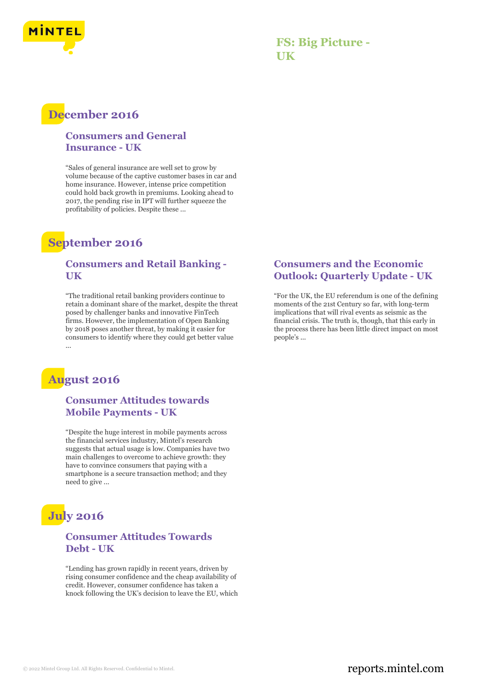

### **FS: Big Picture - UK**

## **December 2016**

#### **Consumers and General Insurance - UK**

"Sales of general insurance are well set to grow by volume because of the captive customer bases in car and home insurance. However, intense price competition could hold back growth in premiums. Looking ahead to 2017, the pending rise in IPT will further squeeze the profitability of policies. Despite these ...

# **September 2016**

#### **Consumers and Retail Banking - UK**

"The traditional retail banking providers continue to retain a dominant share of the market, despite the threat posed by challenger banks and innovative FinTech firms. However, the implementation of Open Banking by 2018 poses another threat, by making it easier for consumers to identify where they could get better value ...

## **August 2016**

#### **Consumer Attitudes towards Mobile Payments - UK**

"Despite the huge interest in mobile payments across the financial services industry, Mintel's research suggests that actual usage is low. Companies have two main challenges to overcome to achieve growth: they have to convince consumers that paying with a smartphone is a secure transaction method; and they need to give ...

# **July 2016**

#### **Consumer Attitudes Towards Debt - UK**

"Lending has grown rapidly in recent years, driven by rising consumer confidence and the cheap availability of credit. However, consumer confidence has taken a knock following the UK's decision to leave the EU, which

#### **Consumers and the Economic Outlook: Quarterly Update - UK**

"For the UK, the EU referendum is one of the defining moments of the 21st Century so far, with long-term implications that will rival events as seismic as the financial crisis. The truth is, though, that this early in the process there has been little direct impact on most people's ...